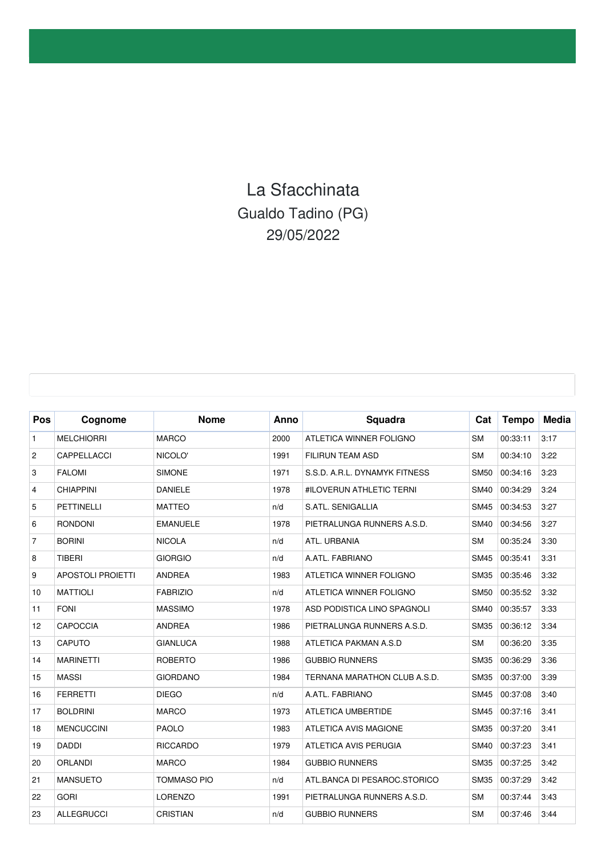## La Sfacchinata Gualdo Tadino (PG) 29/05/2022

| Pos            | Cognome                  | <b>Nome</b>        | Anno | Squadra                       | Cat         | <b>Tempo</b> | <b>Media</b> |
|----------------|--------------------------|--------------------|------|-------------------------------|-------------|--------------|--------------|
| $\mathbf{1}$   | <b>MELCHIORRI</b>        | <b>MARCO</b>       | 2000 | ATLETICA WINNER FOLIGNO       | <b>SM</b>   | 00:33:11     | 3:17         |
| $\overline{c}$ | CAPPELLACCI              | NICOLO'            | 1991 | <b>FILIRUN TEAM ASD</b>       | <b>SM</b>   | 00:34:10     | 3:22         |
| 3              | <b>FALOMI</b>            | <b>SIMONE</b>      | 1971 | S.S.D. A.R.L. DYNAMYK FITNESS | <b>SM50</b> | 00:34:16     | 3:23         |
| $\overline{4}$ | <b>CHIAPPINI</b>         | <b>DANIELE</b>     | 1978 | #ILOVERUN ATHLETIC TERNI      | <b>SM40</b> | 00:34:29     | 3:24         |
| 5              | <b>PETTINELLI</b>        | <b>MATTEO</b>      | n/d  | S.ATL. SENIGALLIA             | <b>SM45</b> | 00:34:53     | 3:27         |
| 6              | <b>RONDONI</b>           | <b>EMANUELE</b>    | 1978 | PIETRALUNGA RUNNERS A.S.D.    | <b>SM40</b> | 00:34:56     | 3:27         |
| $\overline{7}$ | <b>BORINI</b>            | <b>NICOLA</b>      | n/d  | ATL. URBANIA                  | <b>SM</b>   | 00:35:24     | 3:30         |
| 8              | <b>TIBERI</b>            | <b>GIORGIO</b>     | n/d  | A.ATL. FABRIANO               | <b>SM45</b> | 00:35:41     | 3:31         |
| 9              | <b>APOSTOLI PROIETTI</b> | <b>ANDREA</b>      | 1983 | ATLETICA WINNER FOLIGNO       | <b>SM35</b> | 00:35:46     | 3:32         |
| 10             | <b>MATTIOLI</b>          | <b>FABRIZIO</b>    | n/d  | ATLETICA WINNER FOLIGNO       | <b>SM50</b> | 00:35:52     | 3:32         |
| 11             | <b>FONI</b>              | <b>MASSIMO</b>     | 1978 | ASD PODISTICA LINO SPAGNOLI   | <b>SM40</b> | 00:35:57     | 3:33         |
| 12             | <b>CAPOCCIA</b>          | <b>ANDREA</b>      | 1986 | PIETRALUNGA RUNNERS A.S.D.    | <b>SM35</b> | 00:36:12     | 3:34         |
| 13             | CAPUTO                   | <b>GIANLUCA</b>    | 1988 | ATLETICA PAKMAN A.S.D         | <b>SM</b>   | 00:36:20     | 3:35         |
| 14             | <b>MARINETTI</b>         | <b>ROBERTO</b>     | 1986 | <b>GUBBIO RUNNERS</b>         | <b>SM35</b> | 00:36:29     | 3:36         |
| 15             | <b>MASSI</b>             | <b>GIORDANO</b>    | 1984 | TERNANA MARATHON CLUB A.S.D.  | <b>SM35</b> | 00:37:00     | 3:39         |
| 16             | <b>FERRETTI</b>          | <b>DIEGO</b>       | n/d  | A.ATL. FABRIANO               | <b>SM45</b> | 00:37:08     | 3:40         |
| 17             | <b>BOLDRINI</b>          | <b>MARCO</b>       | 1973 | ATLETICA UMBERTIDE            | <b>SM45</b> | 00:37:16     | 3:41         |
| 18             | <b>MENCUCCINI</b>        | <b>PAOLO</b>       | 1983 | ATLETICA AVIS MAGIONE         | <b>SM35</b> | 00:37:20     | 3:41         |
| 19             | <b>DADDI</b>             | <b>RICCARDO</b>    | 1979 | ATLETICA AVIS PERUGIA         | <b>SM40</b> | 00:37:23     | 3:41         |
| 20             | <b>ORLANDI</b>           | <b>MARCO</b>       | 1984 | <b>GUBBIO RUNNERS</b>         | <b>SM35</b> | 00:37:25     | 3:42         |
| 21             | <b>MANSUETO</b>          | <b>TOMMASO PIO</b> | n/d  | ATL.BANCA DI PESAROC.STORICO  | <b>SM35</b> | 00:37:29     | 3:42         |
| 22             | <b>GORI</b>              | <b>LORENZO</b>     | 1991 | PIETRALUNGA RUNNERS A.S.D.    | <b>SM</b>   | 00:37:44     | 3:43         |
| 23             | <b>ALLEGRUCCI</b>        | <b>CRISTIAN</b>    | n/d  | <b>GUBBIO RUNNERS</b>         | <b>SM</b>   | 00:37:46     | 3:44         |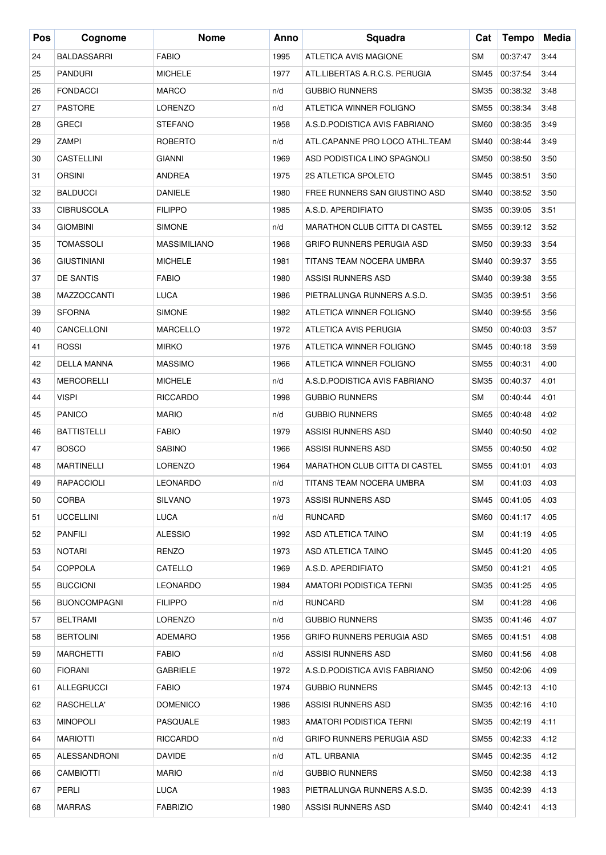| Pos | Cognome             | <b>Nome</b>         | Anno | Squadra                              | Cat         | <b>Tempo</b> | Media |
|-----|---------------------|---------------------|------|--------------------------------------|-------------|--------------|-------|
| 24  | <b>BALDASSARRI</b>  | <b>FABIO</b>        | 1995 | <b>ATLETICA AVIS MAGIONE</b>         | SM          | 00:37:47     | 3:44  |
| 25  | <b>PANDURI</b>      | <b>MICHELE</b>      | 1977 | ATL.LIBERTAS A.R.C.S. PERUGIA        | SM45        | 00:37:54     | 3:44  |
| 26  | <b>FONDACCI</b>     | <b>MARCO</b>        | n/d  | <b>GUBBIO RUNNERS</b>                | SM35        | 00:38:32     | 3:48  |
| 27  | <b>PASTORE</b>      | LORENZO             | n/d  | ATLETICA WINNER FOLIGNO              | SM55        | 00:38:34     | 3:48  |
| 28  | <b>GRECI</b>        | <b>STEFANO</b>      | 1958 | A.S.D.PODISTICA AVIS FABRIANO        | <b>SM60</b> | 00:38:35     | 3:49  |
| 29  | ZAMPI               | ROBERTO             | n/d  | ATL.CAPANNE PRO LOCO ATHL.TEAM       | SM40        | 00:38:44     | 3:49  |
| 30  | CASTELLINI          | <b>GIANNI</b>       | 1969 | ASD PODISTICA LINO SPAGNOLI          | <b>SM50</b> | 00:38:50     | 3:50  |
| 31  | <b>ORSINI</b>       | <b>ANDREA</b>       | 1975 | 2S ATLETICA SPOLETO                  | SM45        | 00:38:51     | 3:50  |
| 32  | <b>BALDUCCI</b>     | <b>DANIELE</b>      | 1980 | FREE RUNNERS SAN GIUSTINO ASD        | <b>SM40</b> | 00:38:52     | 3:50  |
| 33  | <b>CIBRUSCOLA</b>   | <b>FILIPPO</b>      | 1985 | A.S.D. APERDIFIATO                   | <b>SM35</b> | 00:39:05     | 3:51  |
| 34  | <b>GIOMBINI</b>     | <b>SIMONE</b>       | n/d  | <b>MARATHON CLUB CITTA DI CASTEL</b> | SM55        | 00:39:12     | 3:52  |
| 35  | <b>TOMASSOLI</b>    | <b>MASSIMILIANO</b> | 1968 | <b>GRIFO RUNNERS PERUGIA ASD</b>     | <b>SM50</b> | 00:39:33     | 3:54  |
| 36  | <b>GIUSTINIANI</b>  | <b>MICHELE</b>      | 1981 | TITANS TEAM NOCERA UMBRA             | <b>SM40</b> | 00:39:37     | 3:55  |
| 37  | <b>DE SANTIS</b>    | <b>FABIO</b>        | 1980 | ASSISI RUNNERS ASD                   | SM40        | 00:39:38     | 3:55  |
| 38  | <b>MAZZOCCANTI</b>  | <b>LUCA</b>         | 1986 | PIETRALUNGA RUNNERS A.S.D.           | <b>SM35</b> | 00:39:51     | 3:56  |
| 39  | <b>SFORNA</b>       | <b>SIMONE</b>       | 1982 | ATLETICA WINNER FOLIGNO              | SM40        | 00:39:55     | 3:56  |
| 40  | CANCELLONI          | <b>MARCELLO</b>     | 1972 | ATLETICA AVIS PERUGIA                | <b>SM50</b> | 00:40:03     | 3:57  |
| 41  | <b>ROSSI</b>        | <b>MIRKO</b>        | 1976 | ATLETICA WINNER FOLIGNO              | SM45        | 00:40:18     | 3:59  |
| 42  | <b>DELLA MANNA</b>  | <b>MASSIMO</b>      | 1966 | ATLETICA WINNER FOLIGNO              | <b>SM55</b> | 00:40:31     | 4:00  |
| 43  | <b>MERCORELLI</b>   | <b>MICHELE</b>      | n/d  | A.S.D.PODISTICA AVIS FABRIANO        | <b>SM35</b> | 00:40:37     | 4:01  |
| 44  | <b>VISPI</b>        | <b>RICCARDO</b>     | 1998 | <b>GUBBIO RUNNERS</b>                | SM          | 00:40:44     | 4:01  |
| 45  | <b>PANICO</b>       | <b>MARIO</b>        | n/d  | <b>GUBBIO RUNNERS</b>                | <b>SM65</b> | 00:40:48     | 4:02  |
| 46  | <b>BATTISTELLI</b>  | <b>FABIO</b>        | 1979 | <b>ASSISI RUNNERS ASD</b>            | <b>SM40</b> | 00:40:50     | 4:02  |
| 47  | <b>BOSCO</b>        | <b>SABINO</b>       | 1966 | ASSISI RUNNERS ASD                   | SM55        | 00:40:50     | 4:02  |
| 48  | <b>MARTINELLI</b>   | <b>LORENZO</b>      | 1964 | <b>MARATHON CLUB CITTA DI CASTEL</b> | SM55        | 00:41:01     | 4:03  |
| 49  | RAPACCIOLI          | LEONARDO            | n/d  | TITANS TEAM NOCERA UMBRA             | SM          | 00:41:03     | 4:03  |
| 50  | <b>CORBA</b>        | <b>SILVANO</b>      | 1973 | ASSISI RUNNERS ASD                   | SM45        | 00:41:05     | 4:03  |
| 51  | <b>UCCELLINI</b>    | <b>LUCA</b>         | n/d  | RUNCARD                              | SM60        | 00:41:17     | 4:05  |
| 52  | <b>PANFILI</b>      | ALESSIO             | 1992 | <b>ASD ATLETICA TAINO</b>            | SM          | 00:41:19     | 4:05  |
| 53  | <b>NOTARI</b>       | RENZO               | 1973 | ASD ATLETICA TAINO                   | SM45        | 00:41:20     | 4:05  |
| 54  | <b>COPPOLA</b>      | CATELLO             | 1969 | A.S.D. APERDIFIATO                   | SM50        | 00:41:21     | 4:05  |
| 55  | <b>BUCCIONI</b>     | <b>LEONARDO</b>     | 1984 | AMATORI PODISTICA TERNI              | SM35        | 00:41:25     | 4:05  |
| 56  | <b>BUONCOMPAGNI</b> | <b>FILIPPO</b>      | n/d  | RUNCARD                              | SM          | 00:41:28     | 4:06  |
| 57  | <b>BELTRAMI</b>     | LORENZO             | n/d  | <b>GUBBIO RUNNERS</b>                | SM35        | 00:41:46     | 4:07  |
| 58  | <b>BERTOLINI</b>    | ADEMARO             | 1956 | GRIFO RUNNERS PERUGIA ASD            | SM65        | 00:41:51     | 4:08  |
| 59  | MARCHETTI           | <b>FABIO</b>        | n/d  | ASSISI RUNNERS ASD                   | SM60        | 00:41:56     | 4:08  |
| 60  | <b>FIORANI</b>      | <b>GABRIELE</b>     | 1972 | A.S.D.PODISTICA AVIS FABRIANO        | SM50        | 00:42:06     | 4:09  |
| 61  | ALLEGRUCCI          | <b>FABIO</b>        | 1974 | <b>GUBBIO RUNNERS</b>                | SM45        | 00:42:13     | 4:10  |
| 62  | RASCHELLA'          | <b>DOMENICO</b>     | 1986 | ASSISI RUNNERS ASD                   | SM35        | 00:42:16     | 4:10  |
| 63  | <b>MINOPOLI</b>     | PASQUALE            | 1983 | AMATORI PODISTICA TERNI              | SM35        | 00:42:19     | 4:11  |
| 64  | MARIOTTI            | <b>RICCARDO</b>     | n/d  | GRIFO RUNNERS PERUGIA ASD            | SM55        | 00:42:33     | 4:12  |
| 65  | ALESSANDRONI        | <b>DAVIDE</b>       | n/d  | ATL. URBANIA                         | SM45        | 00:42:35     | 4:12  |
| 66  | <b>CAMBIOTTI</b>    | <b>MARIO</b>        | n/d  | <b>GUBBIO RUNNERS</b>                | SM50        | 00:42:38     | 4:13  |
| 67  | PERLI               | LUCA                | 1983 | PIETRALUNGA RUNNERS A.S.D.           | SM35        | 00:42:39     | 4:13  |
| 68  | <b>MARRAS</b>       | <b>FABRIZIO</b>     | 1980 | ASSISI RUNNERS ASD                   | SM40        | 00:42:41     | 4:13  |
|     |                     |                     |      |                                      |             |              |       |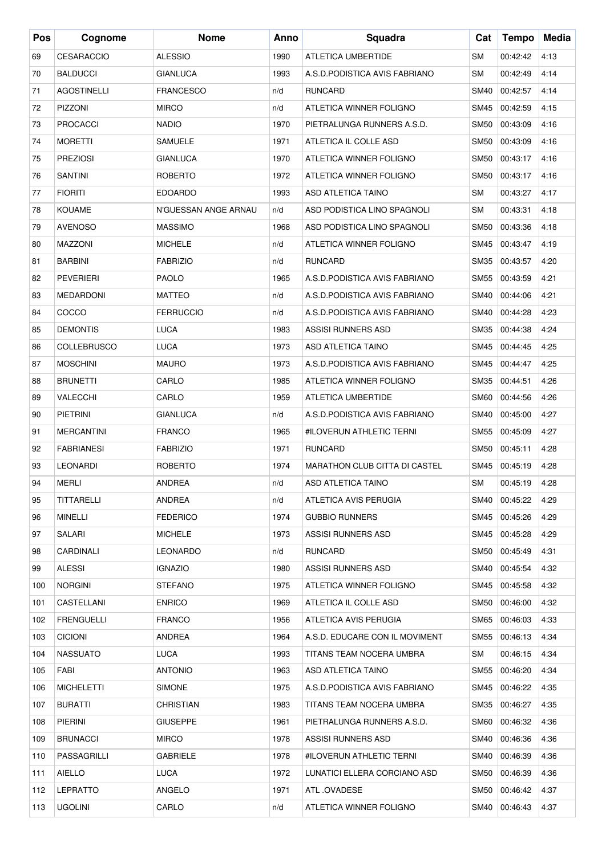| <b>CESARACCIO</b><br><b>ALESSIO</b><br>ATLETICA UMBERTIDE<br><b>SM</b><br>4:13<br>69<br>1990<br>00:42:42<br>4:14<br>70<br><b>BALDUCCI</b><br><b>GIANLUCA</b><br>1993<br>A.S.D.PODISTICA AVIS FABRIANO<br><b>SM</b><br>00:42:49<br>4:14<br>71<br><b>AGOSTINELLI</b><br><b>FRANCESCO</b><br><b>RUNCARD</b><br><b>SM40</b><br>00:42:57<br>n/d<br>4:15<br>72<br><b>PIZZONI</b><br><b>MIRCO</b><br>ATLETICA WINNER FOLIGNO<br>SM45<br>00:42:59<br>n/d<br>00:43:09<br>73<br><b>PROCACCI</b><br><b>NADIO</b><br>1970<br>PIETRALUNGA RUNNERS A.S.D.<br><b>SM50</b><br>4:16<br>74<br><b>MORETTI</b><br><b>SAMUELE</b><br>ATLETICA IL COLLE ASD<br><b>SM50</b><br>00:43:09<br>4:16<br>1971<br>4:16<br>75<br><b>PREZIOSI</b><br><b>GIANLUCA</b><br>1970<br>ATLETICA WINNER FOLIGNO<br><b>SM50</b><br>00:43:17<br>4:16<br>76<br><b>SANTINI</b><br><b>ROBERTO</b><br>1972<br>ATLETICA WINNER FOLIGNO<br><b>SM50</b><br>00:43:17<br>4:17<br>77<br><b>FIORITI</b><br><b>EDOARDO</b><br>1993<br>ASD ATLETICA TAINO<br>SM<br>00:43:27<br>78<br><b>KOUAME</b><br>N'GUESSAN ANGE ARNAU<br>ASD PODISTICA LINO SPAGNOLI<br><b>SM</b><br>00:43:31<br>4:18<br>n/d<br><b>MASSIMO</b><br><b>SM50</b><br>00:43:36<br>4:18<br>79<br><b>AVENOSO</b><br>1968<br>ASD PODISTICA LINO SPAGNOLI<br>4:19<br>80<br><b>MAZZONI</b><br><b>MICHELE</b><br>ATLETICA WINNER FOLIGNO<br>SM45<br>00:43:47<br>n/d<br><b>BARBINI</b><br>4:20<br>81<br><b>FABRIZIO</b><br><b>RUNCARD</b><br><b>SM35</b><br>00:43:57<br>n/d<br>4:21<br>82<br><b>PEVERIERI</b><br><b>PAOLO</b><br>1965<br>A.S.D.PODISTICA AVIS FABRIANO<br><b>SM55</b><br>00:43:59<br>4:21<br>83<br><b>MEDARDONI</b><br><b>MATTEO</b><br><b>SM40</b><br>00:44:06<br>n/d<br>A.S.D.PODISTICA AVIS FABRIANO<br>84<br>COCCO<br><b>SM40</b><br>00:44:28<br>4:23<br><b>FERRUCCIO</b><br>n/d<br>A.S.D.PODISTICA AVIS FABRIANO<br>4:24<br>85<br><b>DEMONTIS</b><br><b>LUCA</b><br>1983<br>ASSISI RUNNERS ASD<br>SM35<br>00:44:38<br>4:25<br>86<br><b>COLLEBRUSCO</b><br><b>LUCA</b><br>1973<br>ASD ATLETICA TAINO<br>SM45<br>00:44:45<br>4:25<br><b>MOSCHINI</b><br><b>MAURO</b><br>1973<br>A.S.D.PODISTICA AVIS FABRIANO<br>SM45<br>00:44:47<br>87<br>4:26<br>88<br><b>BRUNETTI</b><br>CARLO<br>1985<br>ATLETICA WINNER FOLIGNO<br><b>SM35</b><br>00:44:51<br>4:26<br>89<br><b>VALECCHI</b><br>CARLO<br>ATLETICA UMBERTIDE<br><b>SM60</b><br>00:44:56<br>1959<br>4:27<br>90<br><b>PIETRINI</b><br><b>GIANLUCA</b><br>A.S.D.PODISTICA AVIS FABRIANO<br><b>SM40</b><br>00:45:00<br>n/d<br>4:27<br>91<br><b>MERCANTINI</b><br><b>FRANCO</b><br>#ILOVERUN ATHLETIC TERNI<br><b>SM55</b><br>00:45:09<br>1965<br>4:28<br>92<br><b>FABRIANESI</b><br><b>FABRIZIO</b><br>1971<br><b>RUNCARD</b><br>SM50<br>00:45:11<br>00:45:19<br>4:28<br>93<br><b>LEONARDI</b><br><b>ROBERTO</b><br>1974<br><b>MARATHON CLUB CITTA DI CASTEL</b><br>SM45<br>MERLI<br>SM<br>00:45:19<br>4:28<br>94<br>ANDREA<br>n/d<br>ASD ATLETICA TAINO<br>4:29<br>95<br>TITTARELLI<br>ANDREA<br>ATLETICA AVIS PERUGIA<br>SM40<br>00:45:22<br>n/d<br>MINELLI<br>1974<br>4:29<br>96<br><b>FEDERICO</b><br><b>GUBBIO RUNNERS</b><br>SM45<br>00:45:26<br>4:29<br>SALARI<br><b>MICHELE</b><br>1973<br>ASSISI RUNNERS ASD<br>SM45<br>00:45:28<br>97<br>4:31<br>98<br>CARDINALI<br><b>LEONARDO</b><br>n/d<br>RUNCARD<br>SM50<br>00:45:49 |
|---------------------------------------------------------------------------------------------------------------------------------------------------------------------------------------------------------------------------------------------------------------------------------------------------------------------------------------------------------------------------------------------------------------------------------------------------------------------------------------------------------------------------------------------------------------------------------------------------------------------------------------------------------------------------------------------------------------------------------------------------------------------------------------------------------------------------------------------------------------------------------------------------------------------------------------------------------------------------------------------------------------------------------------------------------------------------------------------------------------------------------------------------------------------------------------------------------------------------------------------------------------------------------------------------------------------------------------------------------------------------------------------------------------------------------------------------------------------------------------------------------------------------------------------------------------------------------------------------------------------------------------------------------------------------------------------------------------------------------------------------------------------------------------------------------------------------------------------------------------------------------------------------------------------------------------------------------------------------------------------------------------------------------------------------------------------------------------------------------------------------------------------------------------------------------------------------------------------------------------------------------------------------------------------------------------------------------------------------------------------------------------------------------------------------------------------------------------------------------------------------------------------------------------------------------------------------------------------------------------------------------------------------------------------------------------------------------------------------------------------------------------------------------------------------------------------------------------------------------------------------------------------------------------------------------------------------------------------------------------------------------------------------------------------------------------------------------------------------------------------------------------------------------------------------------------------------------------------------------------------------------------------------------------------------------|
|                                                                                                                                                                                                                                                                                                                                                                                                                                                                                                                                                                                                                                                                                                                                                                                                                                                                                                                                                                                                                                                                                                                                                                                                                                                                                                                                                                                                                                                                                                                                                                                                                                                                                                                                                                                                                                                                                                                                                                                                                                                                                                                                                                                                                                                                                                                                                                                                                                                                                                                                                                                                                                                                                                                                                                                                                                                                                                                                                                                                                                                                                                                                                                                                                                                                                                         |
|                                                                                                                                                                                                                                                                                                                                                                                                                                                                                                                                                                                                                                                                                                                                                                                                                                                                                                                                                                                                                                                                                                                                                                                                                                                                                                                                                                                                                                                                                                                                                                                                                                                                                                                                                                                                                                                                                                                                                                                                                                                                                                                                                                                                                                                                                                                                                                                                                                                                                                                                                                                                                                                                                                                                                                                                                                                                                                                                                                                                                                                                                                                                                                                                                                                                                                         |
|                                                                                                                                                                                                                                                                                                                                                                                                                                                                                                                                                                                                                                                                                                                                                                                                                                                                                                                                                                                                                                                                                                                                                                                                                                                                                                                                                                                                                                                                                                                                                                                                                                                                                                                                                                                                                                                                                                                                                                                                                                                                                                                                                                                                                                                                                                                                                                                                                                                                                                                                                                                                                                                                                                                                                                                                                                                                                                                                                                                                                                                                                                                                                                                                                                                                                                         |
|                                                                                                                                                                                                                                                                                                                                                                                                                                                                                                                                                                                                                                                                                                                                                                                                                                                                                                                                                                                                                                                                                                                                                                                                                                                                                                                                                                                                                                                                                                                                                                                                                                                                                                                                                                                                                                                                                                                                                                                                                                                                                                                                                                                                                                                                                                                                                                                                                                                                                                                                                                                                                                                                                                                                                                                                                                                                                                                                                                                                                                                                                                                                                                                                                                                                                                         |
|                                                                                                                                                                                                                                                                                                                                                                                                                                                                                                                                                                                                                                                                                                                                                                                                                                                                                                                                                                                                                                                                                                                                                                                                                                                                                                                                                                                                                                                                                                                                                                                                                                                                                                                                                                                                                                                                                                                                                                                                                                                                                                                                                                                                                                                                                                                                                                                                                                                                                                                                                                                                                                                                                                                                                                                                                                                                                                                                                                                                                                                                                                                                                                                                                                                                                                         |
|                                                                                                                                                                                                                                                                                                                                                                                                                                                                                                                                                                                                                                                                                                                                                                                                                                                                                                                                                                                                                                                                                                                                                                                                                                                                                                                                                                                                                                                                                                                                                                                                                                                                                                                                                                                                                                                                                                                                                                                                                                                                                                                                                                                                                                                                                                                                                                                                                                                                                                                                                                                                                                                                                                                                                                                                                                                                                                                                                                                                                                                                                                                                                                                                                                                                                                         |
|                                                                                                                                                                                                                                                                                                                                                                                                                                                                                                                                                                                                                                                                                                                                                                                                                                                                                                                                                                                                                                                                                                                                                                                                                                                                                                                                                                                                                                                                                                                                                                                                                                                                                                                                                                                                                                                                                                                                                                                                                                                                                                                                                                                                                                                                                                                                                                                                                                                                                                                                                                                                                                                                                                                                                                                                                                                                                                                                                                                                                                                                                                                                                                                                                                                                                                         |
|                                                                                                                                                                                                                                                                                                                                                                                                                                                                                                                                                                                                                                                                                                                                                                                                                                                                                                                                                                                                                                                                                                                                                                                                                                                                                                                                                                                                                                                                                                                                                                                                                                                                                                                                                                                                                                                                                                                                                                                                                                                                                                                                                                                                                                                                                                                                                                                                                                                                                                                                                                                                                                                                                                                                                                                                                                                                                                                                                                                                                                                                                                                                                                                                                                                                                                         |
|                                                                                                                                                                                                                                                                                                                                                                                                                                                                                                                                                                                                                                                                                                                                                                                                                                                                                                                                                                                                                                                                                                                                                                                                                                                                                                                                                                                                                                                                                                                                                                                                                                                                                                                                                                                                                                                                                                                                                                                                                                                                                                                                                                                                                                                                                                                                                                                                                                                                                                                                                                                                                                                                                                                                                                                                                                                                                                                                                                                                                                                                                                                                                                                                                                                                                                         |
|                                                                                                                                                                                                                                                                                                                                                                                                                                                                                                                                                                                                                                                                                                                                                                                                                                                                                                                                                                                                                                                                                                                                                                                                                                                                                                                                                                                                                                                                                                                                                                                                                                                                                                                                                                                                                                                                                                                                                                                                                                                                                                                                                                                                                                                                                                                                                                                                                                                                                                                                                                                                                                                                                                                                                                                                                                                                                                                                                                                                                                                                                                                                                                                                                                                                                                         |
|                                                                                                                                                                                                                                                                                                                                                                                                                                                                                                                                                                                                                                                                                                                                                                                                                                                                                                                                                                                                                                                                                                                                                                                                                                                                                                                                                                                                                                                                                                                                                                                                                                                                                                                                                                                                                                                                                                                                                                                                                                                                                                                                                                                                                                                                                                                                                                                                                                                                                                                                                                                                                                                                                                                                                                                                                                                                                                                                                                                                                                                                                                                                                                                                                                                                                                         |
|                                                                                                                                                                                                                                                                                                                                                                                                                                                                                                                                                                                                                                                                                                                                                                                                                                                                                                                                                                                                                                                                                                                                                                                                                                                                                                                                                                                                                                                                                                                                                                                                                                                                                                                                                                                                                                                                                                                                                                                                                                                                                                                                                                                                                                                                                                                                                                                                                                                                                                                                                                                                                                                                                                                                                                                                                                                                                                                                                                                                                                                                                                                                                                                                                                                                                                         |
|                                                                                                                                                                                                                                                                                                                                                                                                                                                                                                                                                                                                                                                                                                                                                                                                                                                                                                                                                                                                                                                                                                                                                                                                                                                                                                                                                                                                                                                                                                                                                                                                                                                                                                                                                                                                                                                                                                                                                                                                                                                                                                                                                                                                                                                                                                                                                                                                                                                                                                                                                                                                                                                                                                                                                                                                                                                                                                                                                                                                                                                                                                                                                                                                                                                                                                         |
|                                                                                                                                                                                                                                                                                                                                                                                                                                                                                                                                                                                                                                                                                                                                                                                                                                                                                                                                                                                                                                                                                                                                                                                                                                                                                                                                                                                                                                                                                                                                                                                                                                                                                                                                                                                                                                                                                                                                                                                                                                                                                                                                                                                                                                                                                                                                                                                                                                                                                                                                                                                                                                                                                                                                                                                                                                                                                                                                                                                                                                                                                                                                                                                                                                                                                                         |
|                                                                                                                                                                                                                                                                                                                                                                                                                                                                                                                                                                                                                                                                                                                                                                                                                                                                                                                                                                                                                                                                                                                                                                                                                                                                                                                                                                                                                                                                                                                                                                                                                                                                                                                                                                                                                                                                                                                                                                                                                                                                                                                                                                                                                                                                                                                                                                                                                                                                                                                                                                                                                                                                                                                                                                                                                                                                                                                                                                                                                                                                                                                                                                                                                                                                                                         |
|                                                                                                                                                                                                                                                                                                                                                                                                                                                                                                                                                                                                                                                                                                                                                                                                                                                                                                                                                                                                                                                                                                                                                                                                                                                                                                                                                                                                                                                                                                                                                                                                                                                                                                                                                                                                                                                                                                                                                                                                                                                                                                                                                                                                                                                                                                                                                                                                                                                                                                                                                                                                                                                                                                                                                                                                                                                                                                                                                                                                                                                                                                                                                                                                                                                                                                         |
|                                                                                                                                                                                                                                                                                                                                                                                                                                                                                                                                                                                                                                                                                                                                                                                                                                                                                                                                                                                                                                                                                                                                                                                                                                                                                                                                                                                                                                                                                                                                                                                                                                                                                                                                                                                                                                                                                                                                                                                                                                                                                                                                                                                                                                                                                                                                                                                                                                                                                                                                                                                                                                                                                                                                                                                                                                                                                                                                                                                                                                                                                                                                                                                                                                                                                                         |
|                                                                                                                                                                                                                                                                                                                                                                                                                                                                                                                                                                                                                                                                                                                                                                                                                                                                                                                                                                                                                                                                                                                                                                                                                                                                                                                                                                                                                                                                                                                                                                                                                                                                                                                                                                                                                                                                                                                                                                                                                                                                                                                                                                                                                                                                                                                                                                                                                                                                                                                                                                                                                                                                                                                                                                                                                                                                                                                                                                                                                                                                                                                                                                                                                                                                                                         |
|                                                                                                                                                                                                                                                                                                                                                                                                                                                                                                                                                                                                                                                                                                                                                                                                                                                                                                                                                                                                                                                                                                                                                                                                                                                                                                                                                                                                                                                                                                                                                                                                                                                                                                                                                                                                                                                                                                                                                                                                                                                                                                                                                                                                                                                                                                                                                                                                                                                                                                                                                                                                                                                                                                                                                                                                                                                                                                                                                                                                                                                                                                                                                                                                                                                                                                         |
|                                                                                                                                                                                                                                                                                                                                                                                                                                                                                                                                                                                                                                                                                                                                                                                                                                                                                                                                                                                                                                                                                                                                                                                                                                                                                                                                                                                                                                                                                                                                                                                                                                                                                                                                                                                                                                                                                                                                                                                                                                                                                                                                                                                                                                                                                                                                                                                                                                                                                                                                                                                                                                                                                                                                                                                                                                                                                                                                                                                                                                                                                                                                                                                                                                                                                                         |
|                                                                                                                                                                                                                                                                                                                                                                                                                                                                                                                                                                                                                                                                                                                                                                                                                                                                                                                                                                                                                                                                                                                                                                                                                                                                                                                                                                                                                                                                                                                                                                                                                                                                                                                                                                                                                                                                                                                                                                                                                                                                                                                                                                                                                                                                                                                                                                                                                                                                                                                                                                                                                                                                                                                                                                                                                                                                                                                                                                                                                                                                                                                                                                                                                                                                                                         |
|                                                                                                                                                                                                                                                                                                                                                                                                                                                                                                                                                                                                                                                                                                                                                                                                                                                                                                                                                                                                                                                                                                                                                                                                                                                                                                                                                                                                                                                                                                                                                                                                                                                                                                                                                                                                                                                                                                                                                                                                                                                                                                                                                                                                                                                                                                                                                                                                                                                                                                                                                                                                                                                                                                                                                                                                                                                                                                                                                                                                                                                                                                                                                                                                                                                                                                         |
|                                                                                                                                                                                                                                                                                                                                                                                                                                                                                                                                                                                                                                                                                                                                                                                                                                                                                                                                                                                                                                                                                                                                                                                                                                                                                                                                                                                                                                                                                                                                                                                                                                                                                                                                                                                                                                                                                                                                                                                                                                                                                                                                                                                                                                                                                                                                                                                                                                                                                                                                                                                                                                                                                                                                                                                                                                                                                                                                                                                                                                                                                                                                                                                                                                                                                                         |
|                                                                                                                                                                                                                                                                                                                                                                                                                                                                                                                                                                                                                                                                                                                                                                                                                                                                                                                                                                                                                                                                                                                                                                                                                                                                                                                                                                                                                                                                                                                                                                                                                                                                                                                                                                                                                                                                                                                                                                                                                                                                                                                                                                                                                                                                                                                                                                                                                                                                                                                                                                                                                                                                                                                                                                                                                                                                                                                                                                                                                                                                                                                                                                                                                                                                                                         |
|                                                                                                                                                                                                                                                                                                                                                                                                                                                                                                                                                                                                                                                                                                                                                                                                                                                                                                                                                                                                                                                                                                                                                                                                                                                                                                                                                                                                                                                                                                                                                                                                                                                                                                                                                                                                                                                                                                                                                                                                                                                                                                                                                                                                                                                                                                                                                                                                                                                                                                                                                                                                                                                                                                                                                                                                                                                                                                                                                                                                                                                                                                                                                                                                                                                                                                         |
|                                                                                                                                                                                                                                                                                                                                                                                                                                                                                                                                                                                                                                                                                                                                                                                                                                                                                                                                                                                                                                                                                                                                                                                                                                                                                                                                                                                                                                                                                                                                                                                                                                                                                                                                                                                                                                                                                                                                                                                                                                                                                                                                                                                                                                                                                                                                                                                                                                                                                                                                                                                                                                                                                                                                                                                                                                                                                                                                                                                                                                                                                                                                                                                                                                                                                                         |
|                                                                                                                                                                                                                                                                                                                                                                                                                                                                                                                                                                                                                                                                                                                                                                                                                                                                                                                                                                                                                                                                                                                                                                                                                                                                                                                                                                                                                                                                                                                                                                                                                                                                                                                                                                                                                                                                                                                                                                                                                                                                                                                                                                                                                                                                                                                                                                                                                                                                                                                                                                                                                                                                                                                                                                                                                                                                                                                                                                                                                                                                                                                                                                                                                                                                                                         |
|                                                                                                                                                                                                                                                                                                                                                                                                                                                                                                                                                                                                                                                                                                                                                                                                                                                                                                                                                                                                                                                                                                                                                                                                                                                                                                                                                                                                                                                                                                                                                                                                                                                                                                                                                                                                                                                                                                                                                                                                                                                                                                                                                                                                                                                                                                                                                                                                                                                                                                                                                                                                                                                                                                                                                                                                                                                                                                                                                                                                                                                                                                                                                                                                                                                                                                         |
|                                                                                                                                                                                                                                                                                                                                                                                                                                                                                                                                                                                                                                                                                                                                                                                                                                                                                                                                                                                                                                                                                                                                                                                                                                                                                                                                                                                                                                                                                                                                                                                                                                                                                                                                                                                                                                                                                                                                                                                                                                                                                                                                                                                                                                                                                                                                                                                                                                                                                                                                                                                                                                                                                                                                                                                                                                                                                                                                                                                                                                                                                                                                                                                                                                                                                                         |
|                                                                                                                                                                                                                                                                                                                                                                                                                                                                                                                                                                                                                                                                                                                                                                                                                                                                                                                                                                                                                                                                                                                                                                                                                                                                                                                                                                                                                                                                                                                                                                                                                                                                                                                                                                                                                                                                                                                                                                                                                                                                                                                                                                                                                                                                                                                                                                                                                                                                                                                                                                                                                                                                                                                                                                                                                                                                                                                                                                                                                                                                                                                                                                                                                                                                                                         |
| 99<br>4:32<br><b>ALESSI</b><br><b>IGNAZIO</b><br>1980<br>ASSISI RUNNERS ASD<br>SM40<br>00:45:54                                                                                                                                                                                                                                                                                                                                                                                                                                                                                                                                                                                                                                                                                                                                                                                                                                                                                                                                                                                                                                                                                                                                                                                                                                                                                                                                                                                                                                                                                                                                                                                                                                                                                                                                                                                                                                                                                                                                                                                                                                                                                                                                                                                                                                                                                                                                                                                                                                                                                                                                                                                                                                                                                                                                                                                                                                                                                                                                                                                                                                                                                                                                                                                                         |
| <b>NORGINI</b><br>1975<br>ATLETICA WINNER FOLIGNO<br>4:32<br>100<br><b>STEFANO</b><br>SM45<br>00:45:58                                                                                                                                                                                                                                                                                                                                                                                                                                                                                                                                                                                                                                                                                                                                                                                                                                                                                                                                                                                                                                                                                                                                                                                                                                                                                                                                                                                                                                                                                                                                                                                                                                                                                                                                                                                                                                                                                                                                                                                                                                                                                                                                                                                                                                                                                                                                                                                                                                                                                                                                                                                                                                                                                                                                                                                                                                                                                                                                                                                                                                                                                                                                                                                                  |
| 4:32<br>101<br>CASTELLANI<br><b>ENRICO</b><br>1969<br>ATLETICA IL COLLE ASD<br>SM50<br>00:46:00                                                                                                                                                                                                                                                                                                                                                                                                                                                                                                                                                                                                                                                                                                                                                                                                                                                                                                                                                                                                                                                                                                                                                                                                                                                                                                                                                                                                                                                                                                                                                                                                                                                                                                                                                                                                                                                                                                                                                                                                                                                                                                                                                                                                                                                                                                                                                                                                                                                                                                                                                                                                                                                                                                                                                                                                                                                                                                                                                                                                                                                                                                                                                                                                         |
| 4:33<br><b>FRENGUELLI</b><br><b>FRANCO</b><br>1956<br>ATLETICA AVIS PERUGIA<br>SM65<br>00:46:03<br>102                                                                                                                                                                                                                                                                                                                                                                                                                                                                                                                                                                                                                                                                                                                                                                                                                                                                                                                                                                                                                                                                                                                                                                                                                                                                                                                                                                                                                                                                                                                                                                                                                                                                                                                                                                                                                                                                                                                                                                                                                                                                                                                                                                                                                                                                                                                                                                                                                                                                                                                                                                                                                                                                                                                                                                                                                                                                                                                                                                                                                                                                                                                                                                                                  |
| <b>CICIONI</b><br>4:34<br>103<br>ANDREA<br>1964<br>A.S.D. EDUCARE CON IL MOVIMENT<br>SM55<br>00:46:13                                                                                                                                                                                                                                                                                                                                                                                                                                                                                                                                                                                                                                                                                                                                                                                                                                                                                                                                                                                                                                                                                                                                                                                                                                                                                                                                                                                                                                                                                                                                                                                                                                                                                                                                                                                                                                                                                                                                                                                                                                                                                                                                                                                                                                                                                                                                                                                                                                                                                                                                                                                                                                                                                                                                                                                                                                                                                                                                                                                                                                                                                                                                                                                                   |
| 104<br><b>NASSUATO</b><br>LUCA<br>1993<br>TITANS TEAM NOCERA UMBRA<br>SM<br>00:46:15<br>4:34                                                                                                                                                                                                                                                                                                                                                                                                                                                                                                                                                                                                                                                                                                                                                                                                                                                                                                                                                                                                                                                                                                                                                                                                                                                                                                                                                                                                                                                                                                                                                                                                                                                                                                                                                                                                                                                                                                                                                                                                                                                                                                                                                                                                                                                                                                                                                                                                                                                                                                                                                                                                                                                                                                                                                                                                                                                                                                                                                                                                                                                                                                                                                                                                            |
| FABI<br>1963<br>ASD ATLETICA TAINO<br>4:34<br>105<br><b>ANTONIO</b><br>SM55<br>00:46:20                                                                                                                                                                                                                                                                                                                                                                                                                                                                                                                                                                                                                                                                                                                                                                                                                                                                                                                                                                                                                                                                                                                                                                                                                                                                                                                                                                                                                                                                                                                                                                                                                                                                                                                                                                                                                                                                                                                                                                                                                                                                                                                                                                                                                                                                                                                                                                                                                                                                                                                                                                                                                                                                                                                                                                                                                                                                                                                                                                                                                                                                                                                                                                                                                 |
| 4:35<br>106<br>MICHELETTI<br><b>SIMONE</b><br>1975<br>A.S.D.PODISTICA AVIS FABRIANO<br>SM45<br>00:46:22                                                                                                                                                                                                                                                                                                                                                                                                                                                                                                                                                                                                                                                                                                                                                                                                                                                                                                                                                                                                                                                                                                                                                                                                                                                                                                                                                                                                                                                                                                                                                                                                                                                                                                                                                                                                                                                                                                                                                                                                                                                                                                                                                                                                                                                                                                                                                                                                                                                                                                                                                                                                                                                                                                                                                                                                                                                                                                                                                                                                                                                                                                                                                                                                 |
| <b>BURATTI</b><br>4:35<br>107<br>CHRISTIAN<br>1983<br>TITANS TEAM NOCERA UMBRA<br>SM35<br>00:46:27                                                                                                                                                                                                                                                                                                                                                                                                                                                                                                                                                                                                                                                                                                                                                                                                                                                                                                                                                                                                                                                                                                                                                                                                                                                                                                                                                                                                                                                                                                                                                                                                                                                                                                                                                                                                                                                                                                                                                                                                                                                                                                                                                                                                                                                                                                                                                                                                                                                                                                                                                                                                                                                                                                                                                                                                                                                                                                                                                                                                                                                                                                                                                                                                      |
| 4:36<br>108<br>PIERINI<br><b>GIUSEPPE</b><br>1961<br>PIETRALUNGA RUNNERS A.S.D.<br>SM60<br>00:46:32                                                                                                                                                                                                                                                                                                                                                                                                                                                                                                                                                                                                                                                                                                                                                                                                                                                                                                                                                                                                                                                                                                                                                                                                                                                                                                                                                                                                                                                                                                                                                                                                                                                                                                                                                                                                                                                                                                                                                                                                                                                                                                                                                                                                                                                                                                                                                                                                                                                                                                                                                                                                                                                                                                                                                                                                                                                                                                                                                                                                                                                                                                                                                                                                     |
| 109<br><b>BRUNACCI</b><br><b>MIRCO</b><br>1978<br>ASSISI RUNNERS ASD<br>SM40<br>00:46:36<br>4:36                                                                                                                                                                                                                                                                                                                                                                                                                                                                                                                                                                                                                                                                                                                                                                                                                                                                                                                                                                                                                                                                                                                                                                                                                                                                                                                                                                                                                                                                                                                                                                                                                                                                                                                                                                                                                                                                                                                                                                                                                                                                                                                                                                                                                                                                                                                                                                                                                                                                                                                                                                                                                                                                                                                                                                                                                                                                                                                                                                                                                                                                                                                                                                                                        |
| <b>GABRIELE</b><br>4:36<br>110<br>PASSAGRILLI<br>1978<br>#ILOVERUN ATHLETIC TERNI<br>SM40<br>00:46:39                                                                                                                                                                                                                                                                                                                                                                                                                                                                                                                                                                                                                                                                                                                                                                                                                                                                                                                                                                                                                                                                                                                                                                                                                                                                                                                                                                                                                                                                                                                                                                                                                                                                                                                                                                                                                                                                                                                                                                                                                                                                                                                                                                                                                                                                                                                                                                                                                                                                                                                                                                                                                                                                                                                                                                                                                                                                                                                                                                                                                                                                                                                                                                                                   |
| 4:36<br>111<br><b>AIELLO</b><br>LUCA<br>1972<br>LUNATICI ELLERA CORCIANO ASD<br>SM50<br>00:46:39                                                                                                                                                                                                                                                                                                                                                                                                                                                                                                                                                                                                                                                                                                                                                                                                                                                                                                                                                                                                                                                                                                                                                                                                                                                                                                                                                                                                                                                                                                                                                                                                                                                                                                                                                                                                                                                                                                                                                                                                                                                                                                                                                                                                                                                                                                                                                                                                                                                                                                                                                                                                                                                                                                                                                                                                                                                                                                                                                                                                                                                                                                                                                                                                        |
| LEPRATTO<br>ANGELO<br>1971<br>ATL .OVADESE<br>SM50<br>00:46:42<br>4:37<br>112                                                                                                                                                                                                                                                                                                                                                                                                                                                                                                                                                                                                                                                                                                                                                                                                                                                                                                                                                                                                                                                                                                                                                                                                                                                                                                                                                                                                                                                                                                                                                                                                                                                                                                                                                                                                                                                                                                                                                                                                                                                                                                                                                                                                                                                                                                                                                                                                                                                                                                                                                                                                                                                                                                                                                                                                                                                                                                                                                                                                                                                                                                                                                                                                                           |
| CARLO<br>4:37<br>113<br><b>UGOLINI</b><br>n/d<br>ATLETICA WINNER FOLIGNO<br>SM40<br>00:46:43                                                                                                                                                                                                                                                                                                                                                                                                                                                                                                                                                                                                                                                                                                                                                                                                                                                                                                                                                                                                                                                                                                                                                                                                                                                                                                                                                                                                                                                                                                                                                                                                                                                                                                                                                                                                                                                                                                                                                                                                                                                                                                                                                                                                                                                                                                                                                                                                                                                                                                                                                                                                                                                                                                                                                                                                                                                                                                                                                                                                                                                                                                                                                                                                            |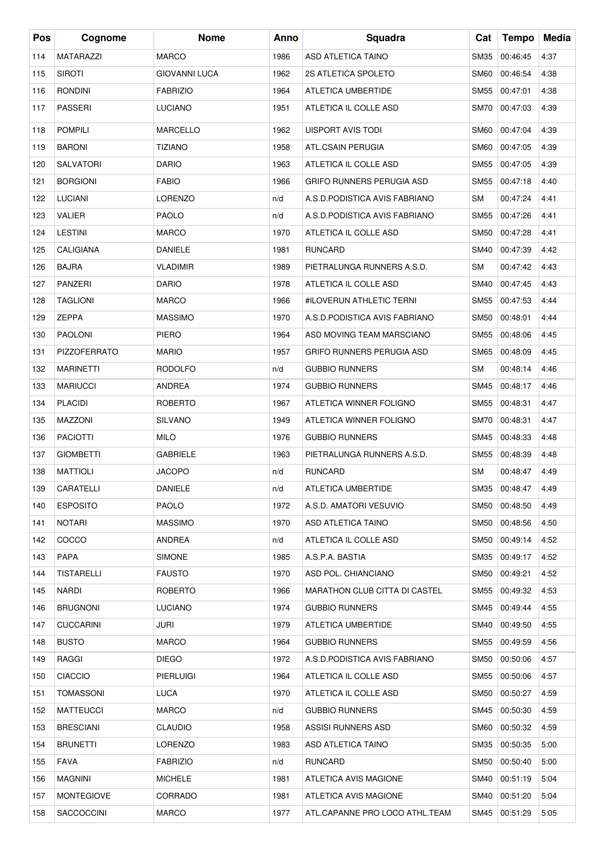| Pos | Cognome             | <b>Nome</b>          | Anno | Squadra                              | Cat         | <b>Tempo</b> | Media |
|-----|---------------------|----------------------|------|--------------------------------------|-------------|--------------|-------|
| 114 | <b>MATARAZZI</b>    | <b>MARCO</b>         | 1986 | ASD ATLETICA TAINO                   | <b>SM35</b> | 00:46:45     | 4:37  |
| 115 | <b>SIROTI</b>       | <b>GIOVANNI LUCA</b> | 1962 | 2S ATLETICA SPOLETO                  | <b>SM60</b> | 00:46:54     | 4:38  |
| 116 | <b>RONDINI</b>      | <b>FABRIZIO</b>      | 1964 | ATLETICA UMBERTIDE                   | <b>SM55</b> | 00:47:01     | 4:38  |
| 117 | <b>PASSERI</b>      | LUCIANO              | 1951 | ATLETICA IL COLLE ASD                | <b>SM70</b> | 00:47:03     | 4:39  |
| 118 | <b>POMPILI</b>      | <b>MARCELLO</b>      | 1962 | <b>UISPORT AVIS TODI</b>             | <b>SM60</b> | 00:47:04     | 4:39  |
| 119 | <b>BARONI</b>       | <b>TIZIANO</b>       | 1958 | ATL.CSAIN PERUGIA                    | <b>SM60</b> | 00:47:05     | 4:39  |
| 120 | <b>SALVATORI</b>    | <b>DARIO</b>         | 1963 | ATLETICA IL COLLE ASD                | <b>SM55</b> | 00:47:05     | 4:39  |
| 121 | <b>BORGIONI</b>     | <b>FABIO</b>         | 1966 | GRIFO RUNNERS PERUGIA ASD            | SM55        | 00:47:18     | 4:40  |
| 122 | <b>LUCIANI</b>      | <b>LORENZO</b>       | n/d  | A.S.D.PODISTICA AVIS FABRIANO        | SM          | 00:47:24     | 4:41  |
| 123 | <b>VALIER</b>       | <b>PAOLO</b>         | n/d  | A.S.D.PODISTICA AVIS FABRIANO        | <b>SM55</b> | 00:47:26     | 4:41  |
| 124 | <b>LESTINI</b>      | <b>MARCO</b>         | 1970 | ATLETICA IL COLLE ASD                | <b>SM50</b> | 00:47:28     | 4:41  |
| 125 | <b>CALIGIANA</b>    | <b>DANIELE</b>       | 1981 | <b>RUNCARD</b>                       | <b>SM40</b> | 00:47:39     | 4:42  |
| 126 | <b>BAJRA</b>        | <b>VLADIMIR</b>      | 1989 | PIETRALUNGA RUNNERS A.S.D.           | SM          | 00:47:42     | 4:43  |
| 127 | <b>PANZERI</b>      | <b>DARIO</b>         | 1978 | ATLETICA IL COLLE ASD                | <b>SM40</b> | 00:47:45     | 4:43  |
| 128 | <b>TAGLIONI</b>     | <b>MARCO</b>         | 1966 | #ILOVERUN ATHLETIC TERNI             | <b>SM55</b> | 00:47:53     | 4:44  |
| 129 | <b>ZEPPA</b>        | <b>MASSIMO</b>       | 1970 | A.S.D.PODISTICA AVIS FABRIANO        | <b>SM50</b> | 00:48:01     | 4:44  |
| 130 | <b>PAOLONI</b>      | <b>PIERO</b>         | 1964 | ASD MOVING TEAM MARSCIANO            | <b>SM55</b> | 00:48:06     | 4:45  |
| 131 | <b>PIZZOFERRATO</b> | <b>MARIO</b>         | 1957 | GRIFO RUNNERS PERUGIA ASD            | <b>SM65</b> | 00:48:09     | 4:45  |
| 132 | <b>MARINETTI</b>    | <b>RODOLFO</b>       | n/d  | <b>GUBBIO RUNNERS</b>                | SM          | 00:48:14     | 4:46  |
| 133 | <b>MARIUCCI</b>     | <b>ANDREA</b>        | 1974 | <b>GUBBIO RUNNERS</b>                | SM45        | 00:48:17     | 4:46  |
| 134 | <b>PLACIDI</b>      | <b>ROBERTO</b>       | 1967 | ATLETICA WINNER FOLIGNO              | SM55        | 00:48:31     | 4:47  |
| 135 | MAZZONI             | <b>SILVANO</b>       | 1949 | ATLETICA WINNER FOLIGNO              | <b>SM70</b> | 00:48:31     | 4:47  |
| 136 | <b>PACIOTTI</b>     | MILO                 | 1976 | <b>GUBBIO RUNNERS</b>                | SM45        | 00:48:33     | 4:48  |
| 137 | <b>GIOMBETTI</b>    | <b>GABRIELE</b>      | 1963 | PIETRALUNGA RUNNERS A.S.D.           | SM55        | 00:48:39     | 4:48  |
| 138 | <b>MATTIOLI</b>     | <b>JACOPO</b>        | n/d  | <b>RUNCARD</b>                       | SM          | 00:48:47     | 4:49  |
| 139 | CARATELLI           | <b>DANIELE</b>       | n/d  | ATLETICA UMBERTIDE                   | SM35        | 00:48:47     | 4:49  |
| 140 | <b>ESPOSITO</b>     | <b>PAOLO</b>         | 1972 | A.S.D. AMATORI VESUVIO               | SM50        | 00:48:50     | 4:49  |
| 141 | <b>NOTARI</b>       | <b>MASSIMO</b>       | 1970 | ASD ATLETICA TAINO                   | <b>SM50</b> | 00:48:56     | 4:50  |
| 142 | COCCO               | ANDREA               | n/d  | ATLETICA IL COLLE ASD                | SM50        | 00:49:14     | 4:52  |
| 143 | <b>PAPA</b>         | <b>SIMONE</b>        | 1985 | A.S.P.A. BASTIA                      | SM35        | 00:49:17     | 4:52  |
| 144 | <b>TISTARELLI</b>   | <b>FAUSTO</b>        | 1970 | ASD POL. CHIANCIANO                  | SM50        | 00:49:21     | 4:52  |
| 145 | <b>NARDI</b>        | ROBERTO              | 1966 | <b>MARATHON CLUB CITTA DI CASTEL</b> | <b>SM55</b> | 00:49:32     | 4:53  |
| 146 | <b>BRUGNONI</b>     | <b>LUCIANO</b>       | 1974 | <b>GUBBIO RUNNERS</b>                | SM45        | 00:49:44     | 4:55  |
| 147 | <b>CUCCARINI</b>    | JURI                 | 1979 | ATLETICA UMBERTIDE                   | SM40        | 00:49:50     | 4:55  |
| 148 | <b>BUSTO</b>        | <b>MARCO</b>         | 1964 | <b>GUBBIO RUNNERS</b>                | SM55        | 00:49:59     | 4:56  |
| 149 | RAGGI               | <b>DIEGO</b>         | 1972 | A.S.D.PODISTICA AVIS FABRIANO        | SM50        | 00:50:06     | 4:57  |
| 150 | <b>CIACCIO</b>      | PIERLUIGI            | 1964 | ATLETICA IL COLLE ASD                | SM55        | 00:50:06     | 4:57  |
| 151 | TOMASSONI           | LUCA                 | 1970 | ATLETICA IL COLLE ASD                | SM50        | 00:50:27     | 4:59  |
| 152 | <b>MATTEUCCI</b>    | MARCO                | n/d  | <b>GUBBIO RUNNERS</b>                | SM45        | 00:50:30     | 4:59  |
| 153 | <b>BRESCIANI</b>    | <b>CLAUDIO</b>       | 1958 | ASSISI RUNNERS ASD                   | SM60        | 00:50:32     | 4:59  |
| 154 | <b>BRUNETTI</b>     | <b>LORENZO</b>       | 1983 | ASD ATLETICA TAINO                   | SM35        | 00:50:35     | 5:00  |
| 155 | FAVA                | <b>FABRIZIO</b>      | n/d  | RUNCARD                              | SM50        | 00:50:40     | 5:00  |
| 156 | MAGNINI             | <b>MICHELE</b>       | 1981 | ATLETICA AVIS MAGIONE                | SM40        | 00:51:19     | 5:04  |
| 157 | <b>MONTEGIOVE</b>   | CORRADO              | 1981 | ATLETICA AVIS MAGIONE                | SM40        | 00:51:20     | 5:04  |
| 158 | <b>SACCOCCINI</b>   | <b>MARCO</b>         | 1977 | ATL.CAPANNE PRO LOCO ATHL.TEAM       | SM45        | 00:51:29     | 5:05  |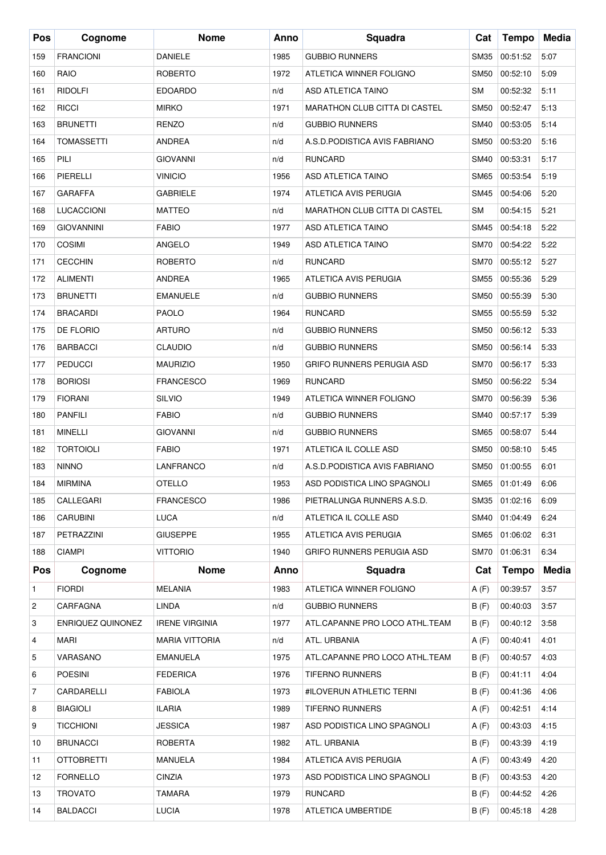| Pos        | Cognome           | <b>Nome</b>           | Anno | Squadra                              | Cat         | <b>Tempo</b>  | Media |
|------------|-------------------|-----------------------|------|--------------------------------------|-------------|---------------|-------|
| 159        | <b>FRANCIONI</b>  | <b>DANIELE</b>        | 1985 | <b>GUBBIO RUNNERS</b>                | <b>SM35</b> | 00:51:52      | 5:07  |
| 160        | RAIO              | <b>ROBERTO</b>        | 1972 | ATLETICA WINNER FOLIGNO              | <b>SM50</b> | 00:52:10      | 5:09  |
| 161        | <b>RIDOLFI</b>    | <b>EDOARDO</b>        | n/d  | <b>ASD ATLETICA TAINO</b>            | <b>SM</b>   | 00:52:32      | 5:11  |
| 162        | <b>RICCI</b>      | <b>MIRKO</b>          | 1971 | <b>MARATHON CLUB CITTA DI CASTEL</b> | <b>SM50</b> | 00:52:47      | 5:13  |
| 163        | <b>BRUNETTI</b>   | <b>RENZO</b>          | n/d  | <b>GUBBIO RUNNERS</b>                | <b>SM40</b> | 00:53:05      | 5:14  |
| 164        | <b>TOMASSETTI</b> | <b>ANDREA</b>         | n/d  | A.S.D.PODISTICA AVIS FABRIANO        | <b>SM50</b> | 00:53:20      | 5:16  |
| 165        | PILI              | <b>GIOVANNI</b>       | n/d  | <b>RUNCARD</b>                       | <b>SM40</b> | 00:53:31      | 5:17  |
| 166        | PIERELLI          | <b>VINICIO</b>        | 1956 | ASD ATLETICA TAINO                   | <b>SM65</b> | 00:53:54      | 5:19  |
| 167        | <b>GARAFFA</b>    | <b>GABRIELE</b>       | 1974 | ATLETICA AVIS PERUGIA                | <b>SM45</b> | 00:54:06      | 5:20  |
| 168        | LUCACCIONI        | <b>MATTEO</b>         | n/d  | <b>MARATHON CLUB CITTA DI CASTEL</b> | <b>SM</b>   | 00:54:15      | 5:21  |
| 169        | <b>GIOVANNINI</b> | <b>FABIO</b>          | 1977 | ASD ATLETICA TAINO                   | <b>SM45</b> | 00:54:18      | 5:22  |
| 170        | <b>COSIMI</b>     | ANGELO                | 1949 | <b>ASD ATLETICA TAINO</b>            | <b>SM70</b> | 00:54:22      | 5:22  |
| 171        | <b>CECCHIN</b>    | <b>ROBERTO</b>        | n/d  | <b>RUNCARD</b>                       | <b>SM70</b> | 00:55:12      | 5:27  |
| 172        | <b>ALIMENTI</b>   | <b>ANDREA</b>         | 1965 | ATLETICA AVIS PERUGIA                | <b>SM55</b> | 00:55:36      | 5:29  |
| 173        | <b>BRUNETTI</b>   | <b>EMANUELE</b>       | n/d  | <b>GUBBIO RUNNERS</b>                | <b>SM50</b> | 00:55:39      | 5:30  |
| 174        | <b>BRACARDI</b>   | <b>PAOLO</b>          | 1964 | <b>RUNCARD</b>                       | <b>SM55</b> | 00:55:59      | 5:32  |
| 175        | DE FLORIO         | <b>ARTURO</b>         | n/d  | <b>GUBBIO RUNNERS</b>                | <b>SM50</b> | 00:56:12      | 5:33  |
| 176        | <b>BARBACCI</b>   | <b>CLAUDIO</b>        | n/d  | <b>GUBBIO RUNNERS</b>                | <b>SM50</b> | 00:56:14      | 5:33  |
| 177        | <b>PEDUCCI</b>    | <b>MAURIZIO</b>       | 1950 | GRIFO RUNNERS PERUGIA ASD            | <b>SM70</b> | 00:56:17      | 5:33  |
| 178        | <b>BORIOSI</b>    | <b>FRANCESCO</b>      | 1969 | <b>RUNCARD</b>                       | <b>SM50</b> | 00:56:22      | 5:34  |
| 179        | <b>FIORANI</b>    | <b>SILVIO</b>         | 1949 | ATLETICA WINNER FOLIGNO              | <b>SM70</b> | 00:56:39      | 5:36  |
| 180        | <b>PANFILI</b>    | <b>FABIO</b>          | n/d  | <b>GUBBIO RUNNERS</b>                | <b>SM40</b> | 00:57:17      | 5:39  |
| 181        | <b>MINELLI</b>    | <b>GIOVANNI</b>       | n/d  | <b>GUBBIO RUNNERS</b>                | <b>SM65</b> | 00:58:07      | 5:44  |
| 182        | <b>TORTOIOLI</b>  | <b>FABIO</b>          | 1971 | ATLETICA IL COLLE ASD                | <b>SM50</b> | 00:58:10      | 5:45  |
| 183        | <b>NINNO</b>      | LANFRANCO             | n/d  | A.S.D.PODISTICA AVIS FABRIANO        | SM50        | 01:00:55      | 6:01  |
| 184        | <b>MIRMINA</b>    | <b>OTELLO</b>         | 1953 | ASD PODISTICA LINO SPAGNOLI          |             | SM65 01:01:49 | 6:06  |
| 185        | CALLEGARI         | <b>FRANCESCO</b>      | 1986 | PIETRALUNGA RUNNERS A.S.D.           | SM35        | 01:02:16      | 6:09  |
| 186        | CARUBINI          | LUCA                  | n/d  | ATLETICA IL COLLE ASD                | SM40        | 01:04:49      | 6:24  |
| 187        | PETRAZZINI        | <b>GIUSEPPE</b>       | 1955 | ATLETICA AVIS PERUGIA                | SM65        | 01:06:02      | 6:31  |
| 188        | <b>CIAMPI</b>     | VITTORIO              | 1940 | GRIFO RUNNERS PERUGIA ASD            | <b>SM70</b> | 01:06:31      | 6:34  |
| <b>Pos</b> | Cognome           | <b>Nome</b>           | Anno | Squadra                              | Cat         | Tempo         | Media |
| 1          | <b>FIORDI</b>     | <b>MELANIA</b>        | 1983 | ATLETICA WINNER FOLIGNO              | A(F)        | 00:39:57      | 3:57  |
| 2          | CARFAGNA          | LINDA                 | n/d  | <b>GUBBIO RUNNERS</b>                | B(F)        | 00:40:03      | 3:57  |
| 3          | ENRIQUEZ QUINONEZ | <b>IRENE VIRGINIA</b> | 1977 | ATL.CAPANNE PRO LOCO ATHL.TEAM       | B(F)        | 00:40:12      | 3:58  |
| 4          | MARI              | <b>MARIA VITTORIA</b> | n/d  | ATL. URBANIA                         | A(F)        | 00:40:41      | 4:01  |
| 5          | VARASANO          | EMANUELA              | 1975 | ATL.CAPANNE PRO LOCO ATHL.TEAM       | B(F)        | 00:40:57      | 4:03  |
| 6          | <b>POESINI</b>    | <b>FEDERICA</b>       | 1976 | TIFERNO RUNNERS                      | B(F)        | 00:41:11      | 4:04  |
| 7          | CARDARELLI        | <b>FABIOLA</b>        | 1973 | #ILOVERUN ATHLETIC TERNI             | B(F)        | 00:41:36      | 4:06  |
| 8          | <b>BIAGIOLI</b>   | <b>ILARIA</b>         | 1989 | TIFERNO RUNNERS                      | A(F)        | 00:42:51      | 4:14  |
| 9          | <b>TICCHIONI</b>  | <b>JESSICA</b>        | 1987 | ASD PODISTICA LINO SPAGNOLI          | A(F)        | 00:43:03      | 4:15  |
| 10         | <b>BRUNACCI</b>   | ROBERTA               | 1982 | ATL. URBANIA                         | B(F)        | 00:43:39      | 4:19  |
| 11         | <b>OTTOBRETTI</b> | MANUELA               | 1984 | ATLETICA AVIS PERUGIA                | A(F)        | 00:43:49      | 4:20  |
| 12         | <b>FORNELLO</b>   | CINZIA                | 1973 | ASD PODISTICA LINO SPAGNOLI          | B(F)        | 00:43:53      | 4:20  |
| 13         | <b>TROVATO</b>    | TAMARA                | 1979 | <b>RUNCARD</b>                       | B(F)        | 00:44:52      | 4:26  |
| 14         | <b>BALDACCI</b>   | <b>LUCIA</b>          | 1978 | ATLETICA UMBERTIDE                   | B(F)        | 00:45:18      | 4:28  |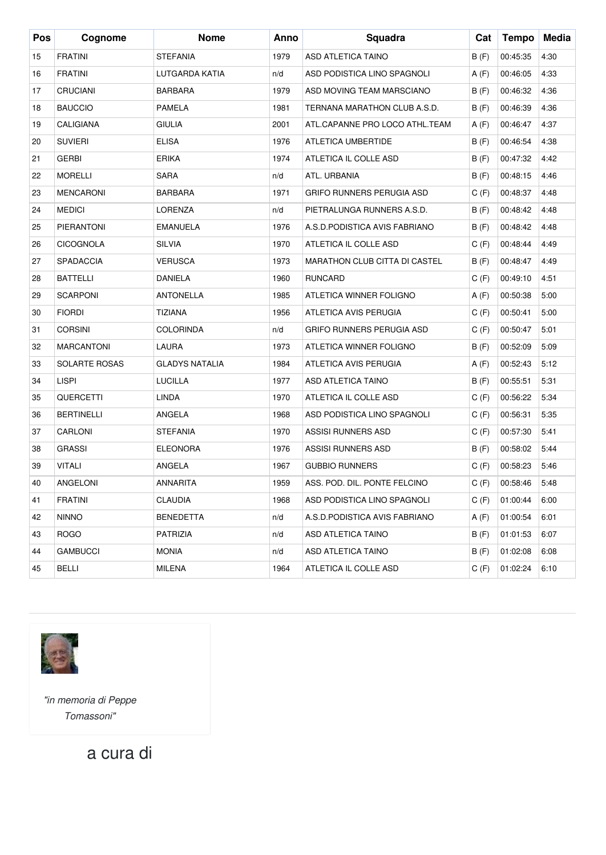| Pos | Cognome           | <b>Nome</b>           | Anno | Squadra                              | Cat   | <b>Tempo</b> | Media |
|-----|-------------------|-----------------------|------|--------------------------------------|-------|--------------|-------|
| 15  | <b>FRATINI</b>    | <b>STEFANIA</b>       | 1979 | ASD ATLETICA TAINO                   | B(F)  | 00:45:35     | 4:30  |
| 16  | <b>FRATINI</b>    | LUTGARDA KATIA        | n/d  | ASD PODISTICA LINO SPAGNOLI          | A(F)  | 00:46:05     | 4:33  |
| 17  | <b>CRUCIANI</b>   | <b>BARBARA</b>        | 1979 | ASD MOVING TEAM MARSCIANO            | B(F)  | 00:46:32     | 4:36  |
| 18  | <b>BAUCCIO</b>    | <b>PAMELA</b>         | 1981 | TERNANA MARATHON CLUB A.S.D.         | B(F)  | 00:46:39     | 4:36  |
| 19  | <b>CALIGIANA</b>  | <b>GIULIA</b>         | 2001 | ATL.CAPANNE PRO LOCO ATHL.TEAM       | A (F) | 00:46:47     | 4:37  |
| 20  | <b>SUVIERI</b>    | <b>ELISA</b>          | 1976 | ATLETICA UMBERTIDE                   | B(F)  | 00:46:54     | 4:38  |
| 21  | <b>GERBI</b>      | <b>ERIKA</b>          | 1974 | ATLETICA IL COLLE ASD                | B(F)  | 00:47:32     | 4:42  |
| 22  | <b>MORELLI</b>    | <b>SARA</b>           | n/d  | ATL. URBANIA                         | B(F)  | 00:48:15     | 4:46  |
| 23  | <b>MENCARONI</b>  | <b>BARBARA</b>        | 1971 | <b>GRIFO RUNNERS PERUGIA ASD</b>     | C(F)  | 00:48:37     | 4:48  |
| 24  | <b>MEDICI</b>     | <b>LORENZA</b>        | n/d  | PIETRALUNGA RUNNERS A.S.D.           | B(F)  | 00:48:42     | 4:48  |
| 25  | <b>PIERANTONI</b> | <b>EMANUELA</b>       | 1976 | A.S.D.PODISTICA AVIS FABRIANO        | B(F)  | 00:48:42     | 4:48  |
| 26  | CICOGNOLA         | <b>SILVIA</b>         | 1970 | ATLETICA IL COLLE ASD                | C(F)  | 00:48:44     | 4:49  |
| 27  | <b>SPADACCIA</b>  | <b>VERUSCA</b>        | 1973 | <b>MARATHON CLUB CITTA DI CASTEL</b> | B(F)  | 00:48:47     | 4:49  |
| 28  | <b>BATTELLI</b>   | DANIELA               | 1960 | <b>RUNCARD</b>                       | C(F)  | 00:49:10     | 4:51  |
| 29  | <b>SCARPONI</b>   | <b>ANTONELLA</b>      | 1985 | ATLETICA WINNER FOLIGNO              | A(F)  | 00:50:38     | 5:00  |
| 30  | <b>FIORDI</b>     | <b>TIZIANA</b>        | 1956 | ATLETICA AVIS PERUGIA                | C(F)  | 00:50:41     | 5:00  |
| 31  | <b>CORSINI</b>    | <b>COLORINDA</b>      | n/d  | GRIFO RUNNERS PERUGIA ASD            | C(F)  | 00:50:47     | 5:01  |
| 32  | <b>MARCANTONI</b> | LAURA                 | 1973 | ATLETICA WINNER FOLIGNO              | B(F)  | 00:52:09     | 5:09  |
| 33  | SOLARTE ROSAS     | <b>GLADYS NATALIA</b> | 1984 | ATLETICA AVIS PERUGIA                | A(F)  | 00:52:43     | 5:12  |
| 34  | <b>LISPI</b>      | <b>LUCILLA</b>        | 1977 | ASD ATLETICA TAINO                   | B(F)  | 00:55:51     | 5:31  |
| 35  | <b>QUERCETTI</b>  | <b>LINDA</b>          | 1970 | ATLETICA IL COLLE ASD                | C(F)  | 00:56:22     | 5:34  |
| 36  | <b>BERTINELLI</b> | ANGELA                | 1968 | ASD PODISTICA LINO SPAGNOLI          | C(F)  | 00:56:31     | 5:35  |
| 37  | CARLONI           | <b>STEFANIA</b>       | 1970 | <b>ASSISI RUNNERS ASD</b>            | C(F)  | 00:57:30     | 5:41  |
| 38  | <b>GRASSI</b>     | <b>ELEONORA</b>       | 1976 | <b>ASSISI RUNNERS ASD</b>            | B(F)  | 00:58:02     | 5:44  |
| 39  | <b>VITALI</b>     | ANGELA                | 1967 | <b>GUBBIO RUNNERS</b>                | C(F)  | 00:58:23     | 5:46  |
| 40  | ANGELONI          | ANNARITA              | 1959 | ASS. POD. DIL. PONTE FELCINO         | C(F)  | 00:58:46     | 5:48  |
| 41  | <b>FRATINI</b>    | CLAUDIA               | 1968 | ASD PODISTICA LINO SPAGNOLI          | C(F)  | 01:00:44     | 6:00  |
| 42  | <b>NINNO</b>      | <b>BENEDETTA</b>      | n/d  | A.S.D.PODISTICA AVIS FABRIANO        | A(F)  | 01:00:54     | 6:01  |
| 43  | <b>ROGO</b>       | PATRIZIA              | n/d  | ASD ATLETICA TAINO                   | B(F)  | 01:01:53     | 6:07  |
| 44  | <b>GAMBUCCI</b>   | <b>MONIA</b>          | n/d  | ASD ATLETICA TAINO                   | B(F)  | 01:02:08     | 6:08  |
| 45  | <b>BELLI</b>      | MILENA                | 1964 | ATLETICA IL COLLE ASD                | C(F)  | 01:02:24     | 6:10  |



*"in memoria di Peppe Tomassoni"*

a cura di